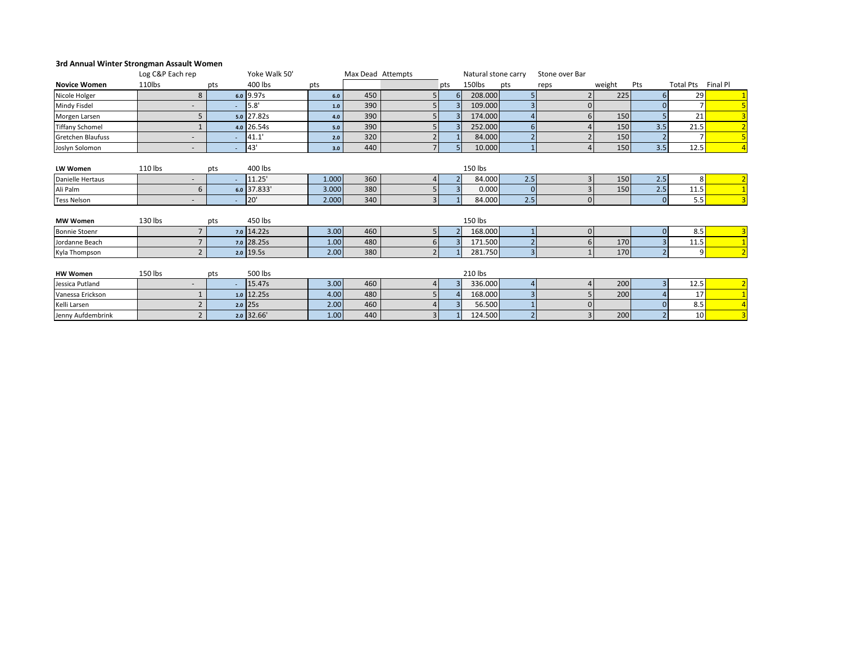## **3rd Annual Winter Strongman Assault Women**

|                          | Log C&P Each rep         |     | Yoke Walk 50' |       | Max Dead Attempts |                |     | Natural stone carry |                | Stone over Bar |        |          |                  |                |
|--------------------------|--------------------------|-----|---------------|-------|-------------------|----------------|-----|---------------------|----------------|----------------|--------|----------|------------------|----------------|
| <b>Novice Women</b>      | 110lbs                   | pts | 400 lbs       | pts   |                   |                | pts | 150lbs              | pts            | reps           | weight | Pts      | <b>Total Pts</b> | Final Pl       |
| Nicole Holger            | 8                        |     | $6.0$ 9.97s   | $6.0$ | 450               | 5              | 6   | 208.000             |                |                | 225    |          | 29               |                |
| Mindy Fisdel             |                          |     | 5.8           | 1.0   | 390               |                |     | 109.000             |                | $\Omega$       |        |          |                  |                |
| Morgen Larsen            |                          |     | $5.0$ 27.82s  | 4.0   | 390               |                |     | 174.000             |                |                | 150    |          | 21               |                |
| <b>Tiffany Schomel</b>   |                          |     | $4.0$ 26.54s  | 5.0   | 390               |                |     | 252.000             | 6              |                | 150    | 3.5      | 21.5             |                |
| <b>Gretchen Blaufuss</b> | $\sim$                   |     | 41.1          | 2.0   | 320               |                |     | 84.000              |                |                | 150    |          |                  |                |
| Joslyn Solomon           | $\sim$                   |     | 43'           | 3.0   | 440               |                |     | 10.000              |                |                | 150    | 3.5      | 12.5             |                |
|                          |                          |     |               |       |                   |                |     |                     |                |                |        |          |                  |                |
| LW Women                 | 110 lbs                  | pts | 400 lbs       |       |                   |                |     | 150 lbs             |                |                |        |          |                  |                |
| Danielle Hertaus         | $\sim$                   |     | 11.25'        | 1.000 | 360               | 4              |     | 84.000              | 2.5            |                | 150    | 2.5      | 8                |                |
| Ali Palm                 | 6                        |     | $6.0$ 37.833' | 3.000 | 380               |                | 3   | 0.000               | $\mathbf{0}$   |                | 150    | 2.5      | 11.5             |                |
| <b>Tess Nelson</b>       | $\overline{\phantom{a}}$ |     | 20'           | 2.000 | 340               | 3 <sup>1</sup> |     | 84.000              | 2.5            | $\Omega$       |        | $\Omega$ | 5.5              |                |
|                          |                          |     |               |       |                   |                |     |                     |                |                |        |          |                  |                |
| <b>MW Women</b>          | 130 lbs                  | pts | 450 lbs       |       |                   |                |     | 150 lbs             |                |                |        |          |                  |                |
| <b>Bonnie Stoenr</b>     | $\overline{7}$           |     | $7.0$ 14.22s  | 3.00  | 460               | 5 <sub>1</sub> |     | 168.000             |                | $\Omega$       |        | $\Omega$ | 8.5              | 3              |
| Jordanne Beach           |                          |     | 7.0 28.25s    | 1.00  | 480               | 6              |     | 171.500             |                |                | 170    |          | 11.5             |                |
| Kyla Thompson            | $\overline{2}$           |     | $2.0$ 19.5s   | 2.00  | 380               |                |     | 281.750             | $\overline{3}$ |                | 170    |          | 9                |                |
|                          |                          |     |               |       |                   |                |     |                     |                |                |        |          |                  |                |
| <b>HW Women</b>          | 150 lbs                  | pts | 500 lbs       |       |                   |                |     | 210 lbs             |                |                |        |          |                  |                |
| Jessica Putland          | $\sim$                   |     | 15.47s        | 3.00  | 460               | 41             |     | 336.000             | 4              |                | 200    | 3        | 12.5             | $\overline{2}$ |
| Vanessa Erickson         |                          |     | $1.0$ 12.25s  | 4.00  | 480               |                |     | 168.000             |                |                | 200    |          | 17               |                |
| Kelli Larsen             |                          |     | $2.0$ 25s     | 2.00  | 460               |                |     | 56.500              |                |                |        |          | 8.5              |                |
| Jenny Aufdembrink        | $\overline{2}$           |     | $2.0$ 32.66'  | 1.00  | 440               | 3 <sup>1</sup> |     | 124.500             | 2              |                | 200    |          | 10               | $\overline{3}$ |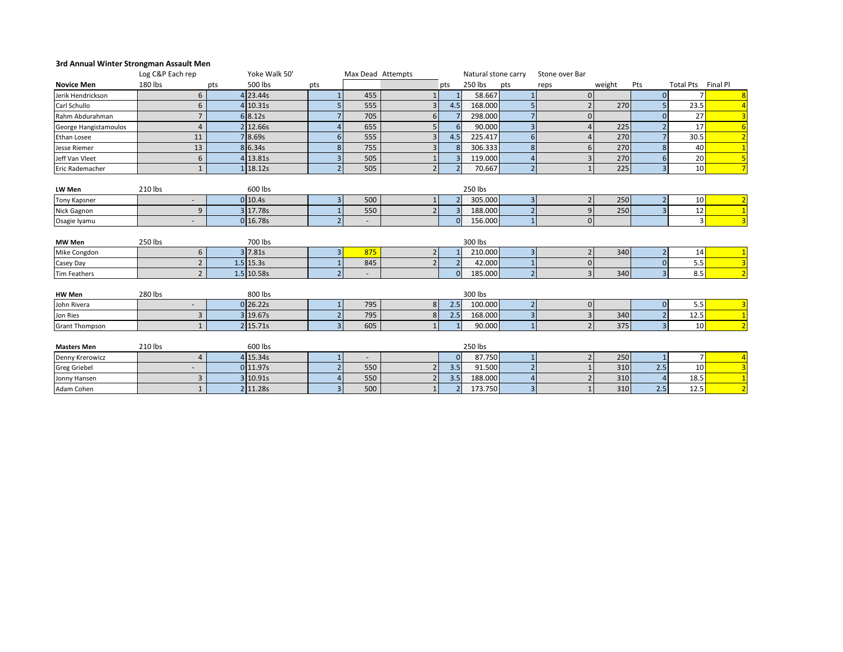## **3rd Annual Winter Strongman Assault Men**

|                       | Log C&P Each rep |     | Yoke Walk 50' |                          |     | Max Dead Attempts        |                          | Natural stone carry |                | Stone over Bar |        |                         |                    |                |
|-----------------------|------------------|-----|---------------|--------------------------|-----|--------------------------|--------------------------|---------------------|----------------|----------------|--------|-------------------------|--------------------|----------------|
| <b>Novice Men</b>     | 180 lbs          | pts | 500 lbs       | pts                      |     |                          | pts                      | 250 lbs             | pts            | reps           | weight | Pts                     | Total Pts Final Pl |                |
| Jerik Hendrickson     | 6                |     | 4 23.44s      |                          | 455 |                          |                          | 58.667              |                | $\Omega$       |        | $\Omega$                |                    |                |
| Carl Schullo          | 6                |     | 4 10.31s      |                          | 555 | 3                        | 4.5                      | 168.000             |                |                | 270    | 5                       | 23.5               |                |
| Rahm Abdurahman       | $\overline{7}$   |     | 6 8.12s       |                          | 705 | 6                        |                          | 298.000             |                | $\Omega$       |        | $\Omega$                | 27                 | 3              |
| George Hangistamoulos | $\overline{4}$   |     | 2 12.66s      |                          | 655 | 5 <sub>1</sub>           | 6                        | 90.000              | 3              |                | 225    |                         | 17                 |                |
| Ethan Losee           | 11               |     | 7 8.69s       | 6                        | 555 |                          | 4.5                      | 225.417             | 6              |                | 270    |                         | 30.5               |                |
| Jesse Riemer          | 13               |     | 8 6.34s       | 8                        | 755 | 3                        | 8                        | 306.333             | 8              | 6              | 270    | 8                       | 40                 |                |
| Jeff Van Vleet        | 6                |     | 4 13.81s      | 3                        | 505 |                          | 3                        | 119.000             |                |                | 270    | 6                       | 20                 | 5              |
| Eric Rademacher       | $\mathbf{1}$     |     | 1 18.12s      | $\overline{\phantom{0}}$ | 505 | $\overline{2}$           | $\overline{\phantom{0}}$ | 70.667              | $\overline{2}$ |                | 225    | $\overline{3}$          | 10                 |                |
|                       |                  |     |               |                          |     |                          |                          |                     |                |                |        |                         |                    |                |
| LW Men                | 210 lbs          |     | 600 lbs       |                          |     |                          |                          | 250 lbs             |                |                |        |                         |                    |                |
| <b>Tony Kapsner</b>   | $\sim$           |     | 0 10.4s       | 3                        | 500 |                          |                          | 305.000             | 3              |                | 250    |                         | 10                 | $\overline{2}$ |
| Nick Gagnon           | 9                |     | 3 17.78s      |                          | 550 | $\overline{\phantom{a}}$ | $\overline{3}$           | 188.000             |                | q              | 250    | $\overline{\mathbf{a}}$ | 12                 |                |
| Osagie Iyamu          |                  |     | 0 16.78s      | $\overline{a}$           |     |                          | $\Omega$                 | 156.000             | $\mathbf{1}$   | $\Omega$       |        |                         | $\overline{3}$     |                |
|                       |                  |     |               |                          |     |                          |                          |                     |                |                |        |                         |                    |                |
| <b>MW Men</b>         | 250 lbs          |     | 700 lbs       |                          |     |                          |                          | 300 lbs             |                |                |        |                         |                    |                |
| Mike Congdon          | 6                |     | 3 7.81s       | 3                        | 875 |                          |                          | 210.000             | 3              |                | 340    |                         | 14                 |                |
| Casey Day             | $\overline{2}$   |     | $1.5$ 15.3s   |                          | 845 | $\mathcal{P}$            | $\overline{2}$           | 42.000              |                | $\Omega$       |        | $\Omega$                | 5.5                | $\overline{3}$ |
| <b>Tim Feathers</b>   | $\overline{2}$   |     | 1.5 10.58s    | $\overline{a}$           |     |                          | $\Omega$                 | 185.000             | $\overline{2}$ | 3              | 340    | 3                       | 8.5                |                |
|                       |                  |     |               |                          |     |                          |                          |                     |                |                |        |                         |                    |                |
| <b>HW Men</b>         | 280 lbs          |     | 800 lbs       |                          |     |                          |                          | 300 lbs             |                |                |        |                         |                    |                |
| John Rivera           | $\sim$           |     | 0 26.22s      |                          | 795 | 8 <sup>1</sup>           | 2.5                      | 100.000             | $\overline{2}$ | $\Omega$       |        | $\Omega$                | 5.5                | 3              |
| Jon Ries              | 3                |     | 3 19.67s      | $\overline{a}$           | 795 | 8                        | 2.5                      | 168.000             | 3              |                | 340    |                         | 12.5               | $\overline{1}$ |
| <b>Grant Thompson</b> | $\mathbf{1}$     |     | 2 15.71s      | 3                        | 605 |                          |                          | 90.000              |                |                | 375    | $\overline{3}$          | 10                 |                |
|                       |                  |     |               |                          |     |                          |                          |                     |                |                |        |                         |                    |                |
| <b>Masters Men</b>    | 210 lbs          |     | 600 lbs       |                          |     |                          |                          | 250 lbs             |                |                |        |                         |                    |                |
| Denny Krerowicz       | 4                |     | 4 15.34s      |                          |     |                          | $\mathbf{0}$             | 87.750              |                |                | 250    | $\mathbf{1}$            |                    |                |
| <b>Greg Griebel</b>   |                  |     | 0 11.97s      | $\overline{\mathbf{c}}$  | 550 |                          | 3.5                      | 91.500              |                |                | 310    | 2.5                     | 10                 | 3              |
| Jonny Hansen          | 3                |     | 3 10.91s      |                          | 550 |                          | 3.5                      | 188.000             |                |                | 310    |                         | 18.5               |                |
| Adam Cohen            | $\mathbf{1}$     |     | 2 11.28s      | $\overline{3}$           | 500 | $\mathbf{1}$             | $\overline{2}$           | 173.750             | 3              |                | 310    | 2.5                     | 12.5               | $\overline{2}$ |